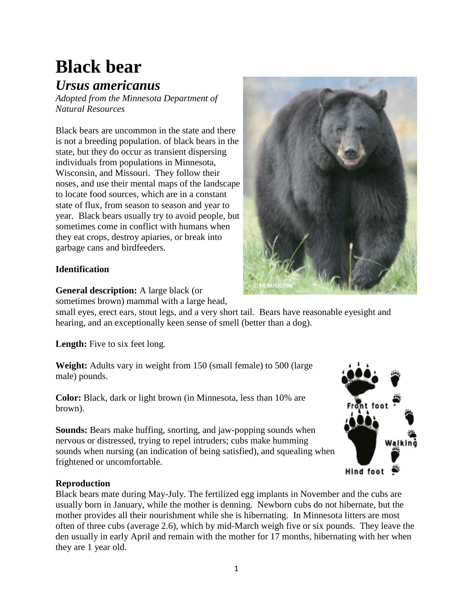# **Black bear**

## *Ursus americanus*

*Adopted from the Minnesota Department of Natural Resources*

Black bears are uncommon in the state and there is not a breeding population. of black bears in the state, but they do occur as transient dispersing individuals from populations in Minnesota, Wisconsin, and Missouri. They follow their noses, and use their mental maps of the landscape to locate food sources, which are in a constant state of flux, from season to season and year to year. Black bears usually try to avoid people, but sometimes come in conflict with humans when they eat crops, destroy apiaries, or break into garbage cans and birdfeeders.

### **Identification**

**General description:** A large black (or

sometimes brown) mammal with a large head,

small eyes, erect ears, stout legs, and a very short tail. Bears have reasonable eyesight and hearing, and an exceptionally keen sense of smell (better than a dog).

Length: Five to six feet long.

**Weight:** Adults vary in weight from 150 (small female) to 500 (large male) pounds.

**Color:** Black, dark or light brown (in Minnesota, less than 10% are brown).

**Sounds:** Bears make huffing, snorting, and jaw-popping sounds when nervous or distressed, trying to repel intruders; cubs make humming sounds when nursing (an indication of being satisfied), and squealing when frightened or uncomfortable.

#### **Reproduction**

Black bears mate during May-July. The fertilized egg implants in November and the cubs are usually born in January, while the mother is denning. Newborn cubs do not hibernate, but the mother provides all their nourishment while she is hibernating. In Minnesota litters are most often of three cubs (average 2.6), which by mid-March weigh five or six pounds. They leave the den usually in early April and remain with the mother for 17 months, hibernating with her when they are 1 year old.